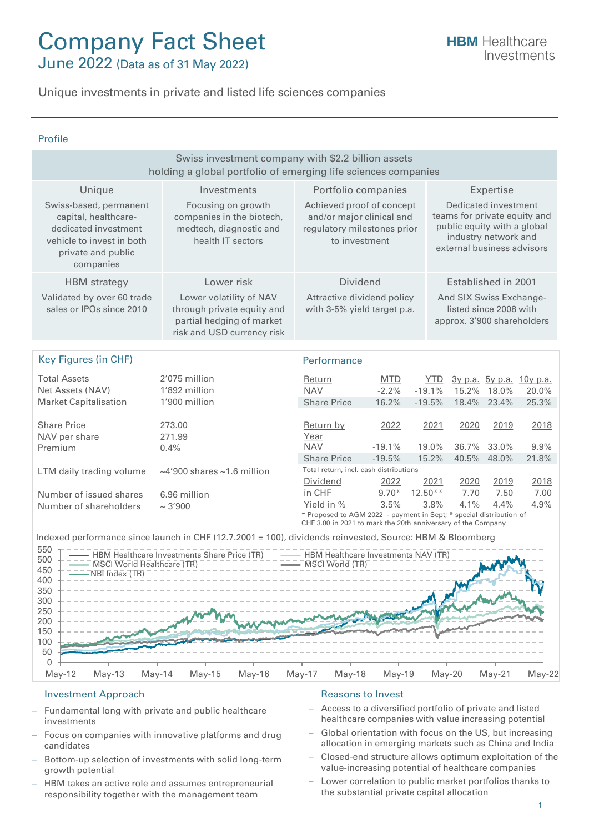# Company Fact Sheet

June 2022 (Data as of 31 May 2022)

Unique investments in private and listed life sciences companies

#### Profile

| Swiss investment company with \$2.2 billion assets<br>holding a global portfolio of emerging life sciences companies                   |                                                                                                                  |                                                                                                                                                                                                                                                     |                       |                   |               |                     |                                          |
|----------------------------------------------------------------------------------------------------------------------------------------|------------------------------------------------------------------------------------------------------------------|-----------------------------------------------------------------------------------------------------------------------------------------------------------------------------------------------------------------------------------------------------|-----------------------|-------------------|---------------|---------------------|------------------------------------------|
| Unique                                                                                                                                 | Investments                                                                                                      | Portfolio companies                                                                                                                                                                                                                                 |                       |                   |               | Expertise           |                                          |
| Swiss-based, permanent<br>capital, healthcare-<br>dedicated investment<br>vehicle to invest in both<br>private and public<br>companies | Focusing on growth<br>companies in the biotech,<br>medtech, diagnostic and<br>health IT sectors                  | Achieved proof of concept<br>Dedicated investment<br>teams for private equity and<br>and/or major clinical and<br>public equity with a global<br>regulatory milestones prior<br>industry network and<br>to investment<br>external business advisors |                       |                   |               |                     |                                          |
| <b>HBM</b> strategy                                                                                                                    | Lower risk                                                                                                       | <b>Dividend</b>                                                                                                                                                                                                                                     |                       |                   |               | Established in 2001 |                                          |
| Validated by over 60 trade<br>sales or IPOs since 2010                                                                                 | Lower volatility of NAV<br>through private equity and<br>partial hedging of market<br>risk and USD currency risk | Attractive dividend policy<br>And SIX Swiss Exchange-<br>listed since 2008 with<br>with 3-5% yield target p.a.<br>approx. 3'900 shareholders                                                                                                        |                       |                   |               |                     |                                          |
|                                                                                                                                        |                                                                                                                  |                                                                                                                                                                                                                                                     |                       |                   |               |                     |                                          |
| <b>Key Figures (in CHF)</b>                                                                                                            |                                                                                                                  | Performance                                                                                                                                                                                                                                         |                       |                   |               |                     |                                          |
| <b>Total Assets</b><br>Net Assets (NAV)                                                                                                | 2'075 million<br>1'892 million                                                                                   | Return<br><b>NAV</b>                                                                                                                                                                                                                                | <b>MTD</b><br>$-2.2%$ | YTD.<br>$-19.1%$  | 15.2%         | 18.0%               | <u>3y p.a. 5y p.a. 10y p.a.</u><br>20.0% |
| <b>Market Capitalisation</b>                                                                                                           | 1'900 million                                                                                                    | <b>Share Price</b>                                                                                                                                                                                                                                  | 16.2%                 | $-19.5%$          | 18.4%         | 23.4%               | 25.3%                                    |
| <b>Share Price</b><br>NAV per share<br>Premium                                                                                         | 273.00<br>271.99<br>0.4%                                                                                         | Return by<br>Year<br><b>NAV</b>                                                                                                                                                                                                                     | 2022<br>$-19.1%$      | 2021<br>19.0%     | 2020<br>36.7% | 2019<br>33.0%       | 2018<br>9.9%                             |
|                                                                                                                                        |                                                                                                                  | <b>Share Price</b><br>Total return, incl. cash distributions                                                                                                                                                                                        | $-19.5%$              | 15.2%             | 40.5%         | 48.0%               | 21.8%                                    |
| LTM daily trading volume<br>Number of issued shares                                                                                    | $\sim$ 4'900 shares $\sim$ 1.6 million<br>6.96 million                                                           | Dividend<br>in CHF                                                                                                                                                                                                                                  | 2022<br>$9.70*$       | 2021<br>$12.50**$ | 2020<br>7.70  | 2019<br>7.50        | 2018<br>7.00                             |
| Number of shareholders                                                                                                                 | ~1000                                                                                                            | Yield in %<br>* Proposed to AGM 2022 - payment in Sept; * special distribution of<br>CHF 3.00 in 2021 to mark the 20th anniversary of the Company                                                                                                   | 3.5%                  | 3.8%              | 4.1%          | 4.4%                | 4.9%                                     |
|                                                                                                                                        | Indexed performance since launch in CHF (12.7.2001 = 100), dividends reinvested, Source: HBM & Bloomberg         |                                                                                                                                                                                                                                                     |                       |                   |               |                     |                                          |
| 550<br>500<br><b>MSCI World Healthcare (TR)</b><br>450<br>NBI Index (TR)<br>400<br>350<br>300<br>250                                   | HBM Healthcare Investments Share Price (TR)                                                                      | HBM Healthcare Investments NAV (TR)<br>MSCI World (TR)                                                                                                                                                                                              |                       |                   |               |                     |                                          |
| 200<br>150                                                                                                                             |                                                                                                                  |                                                                                                                                                                                                                                                     |                       |                   |               |                     |                                          |

May-12 May-13 May-14 May-15 May-16 May-17 May-18 May-19 May-20 May-21 May-22

### Investment Approach **Reasons** to Invest

 $\Omega$ 50 100

- − Fundamental long with private and public healthcare investments
- Focus on companies with innovative platforms and drug candidates
- Bottom-up selection of investments with solid long-term growth potential
- HBM takes an active role and assumes entrepreneurial responsibility together with the management team

- − Access to a diversified portfolio of private and listed healthcare companies with value increasing potential
- Global orientation with focus on the US, but increasing allocation in emerging markets such as China and India
- − Closed-end structure allows optimum exploitation of the value-increasing potential of healthcare companies
- − Lower correlation to public market portfolios thanks to the substantial private capital allocation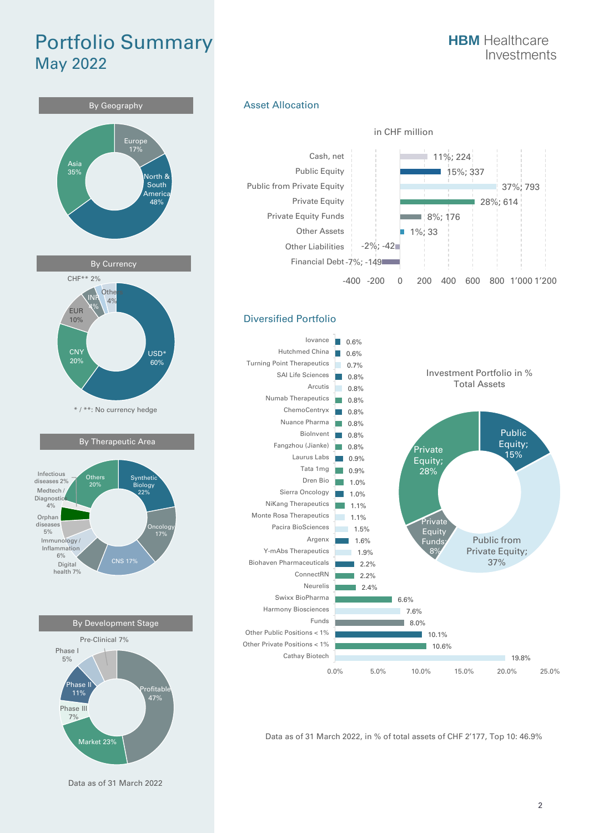### Portfolio Summary May 2022



#### Asset Allocation



#### Diversified Portfolio



Data as of 31 March 2022, in % of total assets of CHF 2'177, Top 10: 46.9%

Data as of 31 March 2022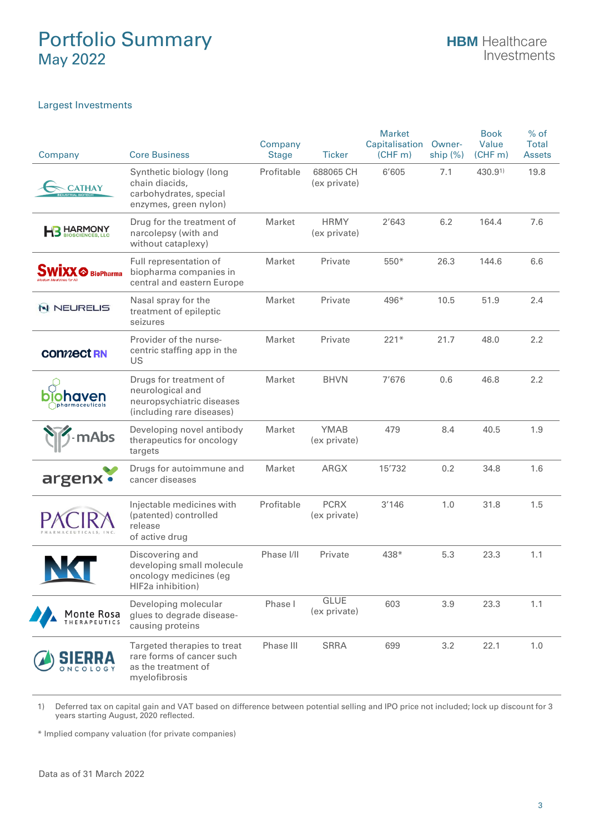### Portfolio Summary May 2022

#### Largest Investments

| Company                   | <b>Core Business</b>                                                                                 | Company<br><b>Stage</b> | <b>Ticker</b>               | <b>Market</b><br>Capitalisation<br>(CHF <sub>m</sub> ) | Owner-<br>ship $(\%)$ | <b>Book</b><br>Value<br>(CHF <sub>m</sub> ) | $%$ of<br><b>Total</b><br><b>Assets</b> |
|---------------------------|------------------------------------------------------------------------------------------------------|-------------------------|-----------------------------|--------------------------------------------------------|-----------------------|---------------------------------------------|-----------------------------------------|
| <b>CATHAY</b>             | Synthetic biology (long<br>chain diacids,<br>carbohydrates, special<br>enzymes, green nylon)         | Profitable              | 688065 CH<br>(ex private)   | 6'605                                                  | 7.1                   | 430.91                                      | 19.8                                    |
| <b>HARMONY</b>            | Drug for the treatment of<br>narcolepsy (with and<br>without cataplexy)                              | Market                  | <b>HRMY</b><br>(ex private) | 2'643                                                  | 6.2                   | 164.4                                       | 7.6                                     |
| BioPharma                 | Full representation of<br>biopharma companies in<br>central and eastern Europe                       | Market                  | Private                     | $550*$                                                 | 26.3                  | 144.6                                       | 6.6                                     |
| N NEURELIS                | Nasal spray for the<br>treatment of epileptic<br>seizures                                            | Market                  | Private                     | 496*                                                   | 10.5                  | 51.9                                        | 2.4                                     |
| <b>CONVECT RN</b>         | Provider of the nurse-<br>centric staffing app in the<br>US                                          | Market                  | Private                     | $221*$                                                 | 21.7                  | 48.0                                        | 2.2                                     |
| ohaven<br>pharmaceuticals | Drugs for treatment of<br>neurological and<br>neuropsychiatric diseases<br>(including rare diseases) | Market                  | <b>BHVN</b>                 | 7'676                                                  | 0.6                   | 46.8                                        | 2.2                                     |
|                           | Developing novel antibody<br>therapeutics for oncology<br>targets                                    | Market                  | <b>YMAB</b><br>(ex private) | 479                                                    | 8.4                   | 40.5                                        | 1.9                                     |
| argenx •                  | Drugs for autoimmune and<br>cancer diseases                                                          | Market                  | ARGX                        | 15'732                                                 | 0.2                   | 34.8                                        | 1.6                                     |
|                           | Injectable medicines with<br>(patented) controlled<br>release<br>of active drug                      | Profitable              | <b>PCRX</b><br>(ex private) | 3'146                                                  | 1.0                   | 31.8                                        | 1.5                                     |
|                           | Discovering and<br>developing small molecule<br>oncology medicines (eg<br>HIF2a inhibition)          | Phase I/II              | Private                     | 438*                                                   | 5.3                   | 23.3                                        | 1.1                                     |
| Ionte Rosa                | Developing molecular<br>glues to degrade disease-<br>causing proteins                                | Phase I                 | <b>GLUE</b><br>(ex private) | 603                                                    | 3.9                   | 23.3                                        | 1.1                                     |
|                           | Targeted therapies to treat<br>rare forms of cancer such<br>as the treatment of<br>myelofibrosis     | Phase III               | <b>SRRA</b>                 | 699                                                    | 3.2                   | 22.1                                        | 1.0                                     |

1) Deferred tax on capital gain and VAT based on difference between potential selling and IPO price not included; lock up discount for 3 years starting August, 2020 reflected.

\* Implied company valuation (for private companies)